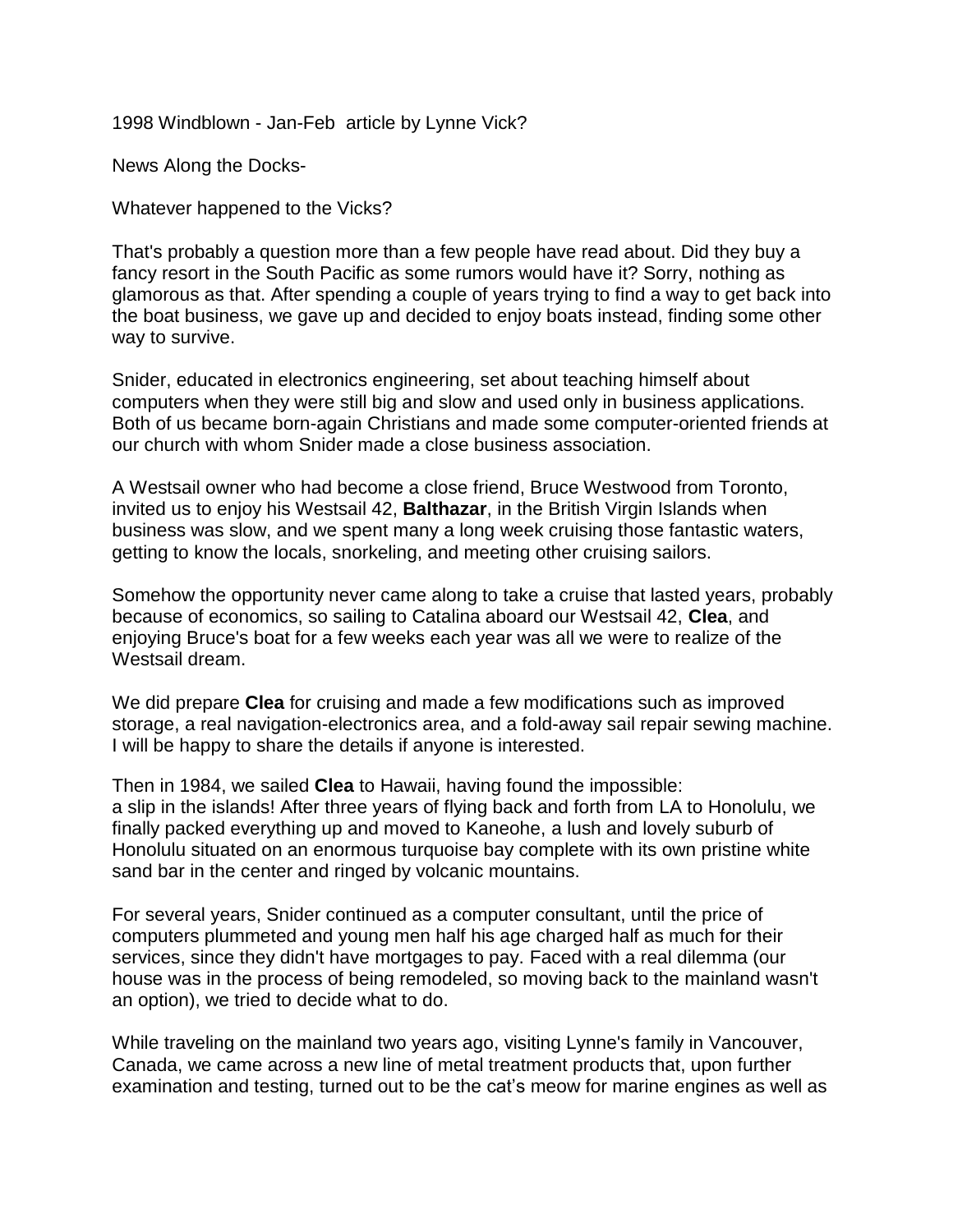1998 Windblown - Jan-Feb article by Lynne Vick?

News Along the Docks-

Whatever happened to the Vicks?

That's probably a question more than a few people have read about. Did they buy a fancy resort in the South Pacific as some rumors would have it? Sorry, nothing as glamorous as that. After spending a couple of years trying to find a way to get back into the boat business, we gave up and decided to enjoy boats instead, finding some other way to survive.

Snider, educated in electronics engineering, set about teaching himself about computers when they were still big and slow and used only in business applications. Both of us became born-again Christians and made some computer-oriented friends at our church with whom Snider made a close business association.

A Westsail owner who had become a close friend, Bruce Westwood from Toronto, invited us to enjoy his Westsail 42, **Balthazar**, in the British Virgin Islands when business was slow, and we spent many a long week cruising those fantastic waters, getting to know the locals, snorkeling, and meeting other cruising sailors.

Somehow the opportunity never came along to take a cruise that lasted years, probably because of economics, so sailing to Catalina aboard our Westsail 42, **Clea**, and enjoying Bruce's boat for a few weeks each year was all we were to realize of the Westsail dream.

We did prepare **Clea** for cruising and made a few modifications such as improved storage, a real navigation-electronics area, and a fold-away sail repair sewing machine. I will be happy to share the details if anyone is interested.

Then in 1984, we sailed **Clea** to Hawaii, having found the impossible: a slip in the islands! After three years of flying back and forth from LA to Honolulu, we finally packed everything up and moved to Kaneohe, a lush and lovely suburb of Honolulu situated on an enormous turquoise bay complete with its own pristine white sand bar in the center and ringed by volcanic mountains.

For several years, Snider continued as a computer consultant, until the price of computers plummeted and young men half his age charged half as much for their services, since they didn't have mortgages to pay. Faced with a real dilemma (our house was in the process of being remodeled, so moving back to the mainland wasn't an option), we tried to decide what to do.

While traveling on the mainland two years ago, visiting Lynne's family in Vancouver, Canada, we came across a new line of metal treatment products that, upon further examination and testing, turned out to be the cat's meow for marine engines as well as